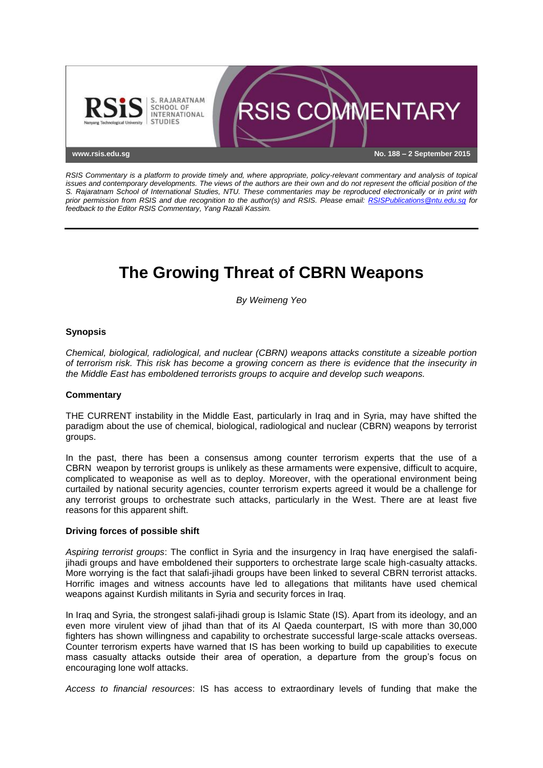

*RSIS Commentary is a platform to provide timely and, where appropriate, policy-relevant commentary and analysis of topical issues and contemporary developments. The views of the authors are their own and do not represent the official position of the S. Rajaratnam School of International Studies, NTU. These commentaries may be reproduced electronically or in print with prior permission from RSIS and due recognition to the author(s) and RSIS. Please email: [RSISPublications@ntu.edu.sg](mailto:RSISPublications@ntu.edu.sg) for feedback to the Editor RSIS Commentary, Yang Razali Kassim.*

# **The Growing Threat of CBRN Weapons**

*By Weimeng Yeo*

## **Synopsis**

*Chemical, biological, radiological, and nuclear (CBRN) weapons attacks constitute a sizeable portion of terrorism risk. This risk has become a growing concern as there is evidence that the insecurity in the Middle East has emboldened terrorists groups to acquire and develop such weapons.*

### **Commentary**

THE CURRENT instability in the Middle East, particularly in Iraq and in Syria, may have shifted the paradigm about the use of chemical, biological, radiological and nuclear (CBRN) weapons by terrorist groups.

In the past, there has been a consensus among counter terrorism experts that the use of a CBRN weapon by terrorist groups is unlikely as these armaments were expensive, difficult to acquire, complicated to weaponise as well as to deploy. Moreover, with the operational environment being curtailed by national security agencies, counter terrorism experts agreed it would be a challenge for any terrorist groups to orchestrate such attacks, particularly in the West. There are at least five reasons for this apparent shift.

### **Driving forces of possible shift**

*Aspiring terrorist groups*: The conflict in Syria and the insurgency in Iraq have energised the salafijihadi groups and have emboldened their supporters to orchestrate large scale high-casualty attacks. More worrying is the fact that salafi-jihadi groups have been linked to several CBRN terrorist attacks. Horrific images and witness accounts have led to allegations that militants have used chemical weapons against Kurdish militants in Syria and security forces in Iraq.

In Iraq and Syria, the strongest salafi-jihadi group is Islamic State (IS). Apart from its ideology, and an even more virulent view of jihad than that of its Al Qaeda counterpart, IS with more than 30,000 fighters has shown willingness and capability to orchestrate successful large-scale attacks overseas. Counter terrorism experts have warned that IS has been working to build up capabilities to execute mass casualty attacks outside their area of operation, a departure from the group's focus on encouraging lone wolf attacks.

*Access to financial resources*: IS has access to extraordinary levels of funding that make the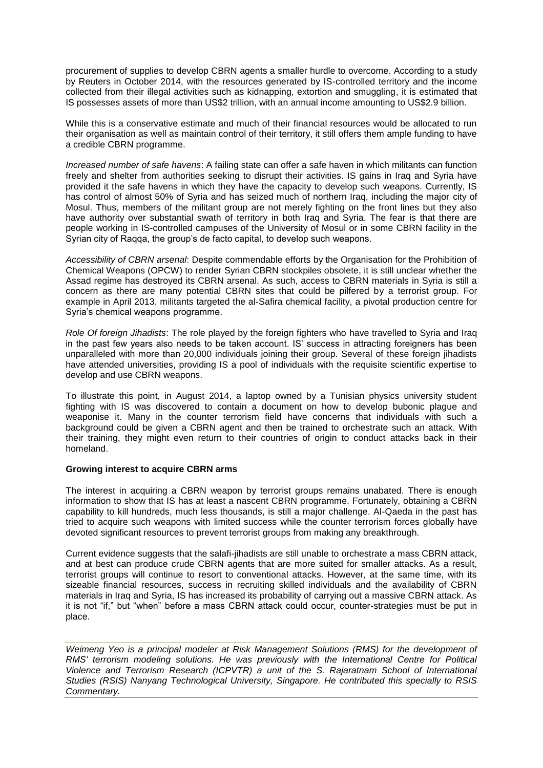procurement of supplies to develop CBRN agents a smaller hurdle to overcome. According to a study by Reuters in October 2014, with the resources generated by IS-controlled territory and the income collected from their illegal activities such as kidnapping, extortion and smuggling, it is estimated that IS possesses assets of more than US\$2 trillion, with an annual income amounting to US\$2.9 billion.

While this is a conservative estimate and much of their financial resources would be allocated to run their organisation as well as maintain control of their territory, it still offers them ample funding to have a credible CBRN programme.

*Increased number of safe havens*: A failing state can offer a safe haven in which militants can function freely and shelter from authorities seeking to disrupt their activities. IS gains in Iraq and Syria have provided it the safe havens in which they have the capacity to develop such weapons. Currently, IS has control of almost 50% of Syria and has seized much of northern Iraq, including the major city of Mosul. Thus, members of the militant group are not merely fighting on the front lines but they also have authority over substantial swath of territory in both Iraq and Syria. The fear is that there are people working in IS-controlled campuses of the University of Mosul or in some CBRN facility in the Syrian city of Raqqa, the group's de facto capital, to develop such weapons.

*Accessibility of CBRN arsenal*: Despite commendable efforts by the Organisation for the Prohibition of Chemical Weapons (OPCW) to render Syrian CBRN stockpiles obsolete, it is still unclear whether the Assad regime has destroyed its CBRN arsenal. As such, access to CBRN materials in Syria is still a concern as there are many potential CBRN sites that could be pilfered by a terrorist group. For example in April 2013, militants targeted the al-Safira chemical facility, a pivotal production centre for Syria's chemical weapons programme.

*Role Of foreign Jihadists*: The role played by the foreign fighters who have travelled to Syria and Iraq in the past few years also needs to be taken account. IS' success in attracting foreigners has been unparalleled with more than 20,000 individuals joining their group. Several of these foreign jihadists have attended universities, providing IS a pool of individuals with the requisite scientific expertise to develop and use CBRN weapons.

To illustrate this point, in August 2014, a laptop owned by a Tunisian physics university student fighting with IS was discovered to contain a document on how to develop bubonic plague and weaponise it. Many in the counter terrorism field have concerns that individuals with such a background could be given a CBRN agent and then be trained to orchestrate such an attack. With their training, they might even return to their countries of origin to conduct attacks back in their homeland.

### **Growing interest to acquire CBRN arms**

The interest in acquiring a CBRN weapon by terrorist groups remains unabated. There is enough information to show that IS has at least a nascent CBRN programme. Fortunately, obtaining a CBRN capability to kill hundreds, much less thousands, is still a major challenge. Al-Qaeda in the past has tried to acquire such weapons with limited success while the counter terrorism forces globally have devoted significant resources to prevent terrorist groups from making any breakthrough.

Current evidence suggests that the salafi-jihadists are still unable to orchestrate a mass CBRN attack, and at best can produce crude CBRN agents that are more suited for smaller attacks. As a result, terrorist groups will continue to resort to conventional attacks. However, at the same time, with its sizeable financial resources, success in recruiting skilled individuals and the availability of CBRN materials in Iraq and Syria, IS has increased its probability of carrying out a massive CBRN attack. As it is not "if," but "when" before a mass CBRN attack could occur, counter-strategies must be put in place.

*Weimeng Yeo is a principal modeler at Risk Management Solutions (RMS) for the development of RMS' terrorism modeling solutions. He was previously with the International Centre for Political Violence and Terrorism Research (ICPVTR) a unit of the S. Rajaratnam School of International Studies (RSIS) Nanyang Technological University, Singapore. He contributed this specially to RSIS Commentary.*